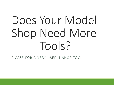# Does Your Model Shop Need More Tools?

A CASE FOR A VERY USEFUL SHOP TOOL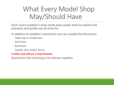### What Every Model Shop May/Should Have

Posit: Every modeler's shop needs basic power tools to achieve the precision and quality we all strive for

In addition to modeler's hand tools one can usually find the basics:

- Table top or model saw
- Drill Press
- Band Saw
- Sander, Disc and/or Drum

#### **A lathe and mill are a leap forward**

Beyond that CNC machining is the ultimate capability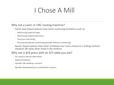#### I Chose A Mill

#### Why not a Laser or CNC routing machine?

- o Home laser based systems have some machining limitations such as:
	- Machining material types
	- Machining material thickness
	- Precision machining
	- Only perpendicular machining possible without creative jigs
- o Router based systems have other limitations but come closest to a milling machine. However fall away when metal is the medium

#### Why not a drill press with an X/Y table you ask?

- o For wood a decent alternative
- o Speed limitations
- o Spindle side loading a concern
- o Spindle downward force control/limit concern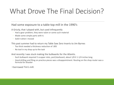## What Drove The Final Decision?

#### Had some exposure to a table top mill in the 1990's

A Grizzly, that I played with, but used infrequently

- Had a gear problem, they were nylon or some such material
- Made some simple parts with it.
- Sold it when I moved

This past summer had to return my Table Saw Zero Inserts to Jim Byrnes

- Too thick needed a thickness reduction of .005
- No tool in my shop up to the task

And recently I was stuck making the bulkwarks for the Atlantis.

- Each bulkwark required 5 scupper slots, port/starboard, about 1/8 X 1-1/4 inches long.
- Hand drilling and filing on practice pieces was a disappointment. Routing on the shop router was a formula for disaster

I borrowed Tim's mill.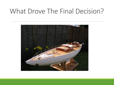#### What Drove The Final Decision?

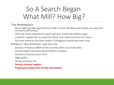### So A Search Began What Mill? How Big?

#### The Marketplace

- Many table top offerings primarily made in China. Reviews claim quality, accuracy and accessory deficiencies.
- After the Grizzly experience I wasn't going to repeat the problem again
- Customer support was an important factor and I have learned it isn't there
- And then there are the floor models. A Bridgeport would have been nice!

Settled on "Buy American" and mini size

- Started a thread on MSW to find out what others recommended.
- Sherline highly recommended (by MSW members)
- Sherline in business since 1972
- High quality
- Strong accessory line
- **Strong customer support**
- **Progressive product line of mills (and lathes)**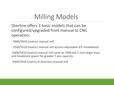## Milling Models

Sherline offers 3 basic models that can be configured/upgraded from manual to CNC operation:

- 5000/5010 (metric) manual mill
- 5500/5510 (metric) manual mill w/zero adjustable X/Y handwheels

-5400/5410 (metric) manual mill same as 5500 but 2 inch larger base and headstock spacer for greater Y axis capacity

-2000/2010 (metric) 8 Direction manual mill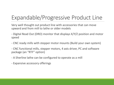#### Expandable/Progressive Product Line

Very well thought out product line with accessories that can move upward and from mill to lathe or older models

- Digital Read Out (DRO) monitor that displays X/Y/Z position and motor speed
- CNC ready mills with stepper motor mounts (Build your own system)
- CNC functional mills, stepper motors, 4 axis driver, PC and software package (an "RTF" option)
- A Sherline lathe can be configured to operate as a mill
- Expansive accessory offerings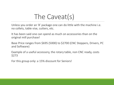### The Caveat(s)

Unless you order an 'A' package one can do little with the machine i.e. no collets, table vise, cutters, etc.

It has been said one can spend as much on accessories than on the original mill purchase!

Base Price ranges from \$695 (5000) to \$2700 (CNC Steppers, Drivers, PC and Software)

Example of a useful accessory, the rotary table, non CNC ready, costs \$273

For this group only: a 15% discount for Seniors!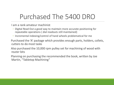#### Purchased The 5400 DRO

I am a rank amateur machinist

- Digital Read Out a good way to maintain more accurate positioning for repeatable operations ( dial readouts still maintained)
- Incremental indexing/control of hand wheels problematical for me

Purchased the 'A' package which provides enough parts, holders, collets, cutters to do most tasks

Also purchased the 10,000 rpm pulley set for machining of wood with router bits

Planning on purchasing the recommended the book, written by Joe Martin, "Tabletop Machining"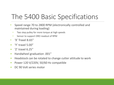### The 5400 Basic Specifications

- Speed range 70 to 2800 RPM (electronically controlled and maintained during loading)
	- Two step pulley for more torque at high speeds
	- Sensor to support DRO readout of RPM
- 'X' Travel 8.65"
- 'Y' travel 5.00"
- $\bullet$  '7' travel 6.25"
- Handwheel graduation .001"
- Headstock can be rotated to change cutter attitude to work
- Power 120 V/220V, 50/60 Hz compatible
- DC 90 Volt series motor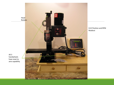

X,Y,Z Position and RPM Readout

All 3 handwheels have reset to zero capability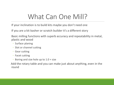#### What Can One Mill?

If your inclination is to build kits maybe you don't need one

If you are a kit basher or scratch builder it's a different story

Basic milling functions with superb accuracy and repeatability in metal, plastic and wood

- Surface planing
- Slot or channel cutting
- Gear cutting
- Facet cutting
- Boring and size hole up to 1.0 + size

Add the rotary table and you can make just about anything, even in the round